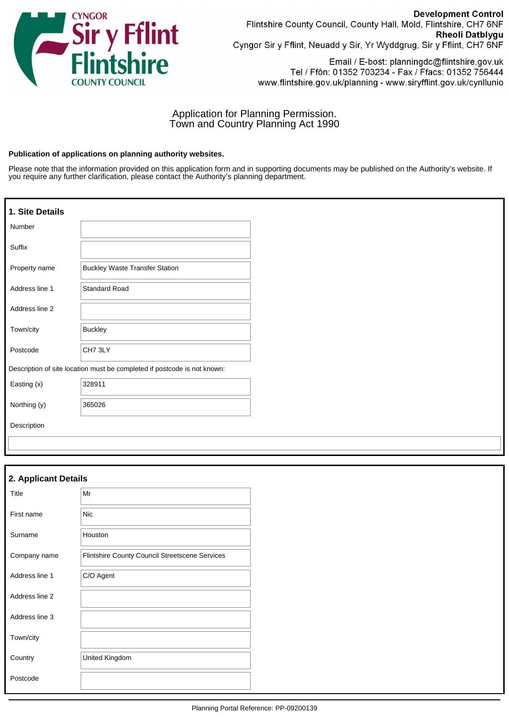

**Development Control** Flintshire County Council, County Hall, Mold, Flintshire, CH7 6NF Rheoli Datblygu Cyngor Sir y Fflint, Neuadd y Sir, Yr Wyddgrug, Sir y Fflint, CH7 6NF

Email / E-bost: planningdc@flintshire.gov.uk Tel / Ffôn: 01352 703234 - Fax / Ffacs: 01352 756444 www.flintshire.gov.uk/planning - www.siryfflint.gov.uk/cynllunio

# Application for Planning Permission. Town and Country Planning Act 1990

#### **Publication of applications on planning authority websites.**

Please note that the information provided on this application form and in supporting documents may be published on the Authority's website. If you require any further clarification, please contact the Authority's planning department.

| 1. Site Details |                                                                          |
|-----------------|--------------------------------------------------------------------------|
| Number          |                                                                          |
| Suffix          |                                                                          |
| Property name   | <b>Buckley Waste Transfer Station</b>                                    |
| Address line 1  | Standard Road                                                            |
| Address line 2  |                                                                          |
| Town/city       | <b>Buckley</b>                                                           |
| Postcode        | CH73LY                                                                   |
|                 | Description of site location must be completed if postcode is not known: |
| Easting (x)     | 328911                                                                   |
| Northing (y)    | 365026                                                                   |
| Description     |                                                                          |

| 2. Applicant Details |                                                |  |
|----------------------|------------------------------------------------|--|
| Title                | Mr                                             |  |
| First name           | <b>Nic</b>                                     |  |
| Surname              | Houston                                        |  |
| Company name         | Flintshire County Council Streetscene Services |  |
| Address line 1       | C/O Agent                                      |  |
| Address line 2       |                                                |  |
| Address line 3       |                                                |  |
| Town/city            |                                                |  |
| Country              | United Kingdom                                 |  |
| Postcode             |                                                |  |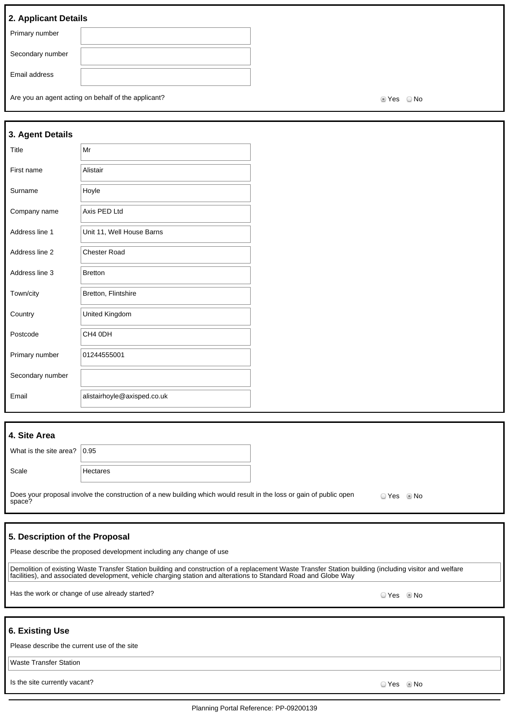# **2. Applicant Details**

| Primary number   |  |
|------------------|--|
| Secondary number |  |
|                  |  |
|                  |  |
| Email address    |  |
|                  |  |
|                  |  |

Are you an agent acting on behalf of the applicant?  $\blacksquare$ 

| 3. Agent Details |                             |
|------------------|-----------------------------|
| Title            | Mr                          |
| First name       | Alistair                    |
| Surname          | Hoyle                       |
| Company name     | Axis PED Ltd                |
| Address line 1   | Unit 11, Well House Barns   |
| Address line 2   | <b>Chester Road</b>         |
| Address line 3   | <b>Bretton</b>              |
| Town/city        | Bretton, Flintshire         |
| Country          | United Kingdom              |
| Postcode         | CH4 0DH                     |
| Primary number   | 01244555001                 |
| Secondary number |                             |
| Email            | alistairhoyle@axisped.co.uk |

| 4. Site Area                    |                                                                                                                               |           |  |
|---------------------------------|-------------------------------------------------------------------------------------------------------------------------------|-----------|--|
| What is the site area? $ 0.95 $ |                                                                                                                               |           |  |
| Scale                           | Hectares                                                                                                                      |           |  |
|                                 | Does your proposal involve the construction of a new building which would result in the loss or gain of public open<br>space? | $OYes$ Mo |  |

### **5. Description of the Proposal**

| Please describe the proposed development including any change of use |  |
|----------------------------------------------------------------------|--|
|----------------------------------------------------------------------|--|

Demolition of existing Waste Transfer Station building and construction of a replacement Waste Transfer Station building (including visitor and welfare facilities), and associated development, vehicle charging station and alterations to Standard Road and Globe Way

Has the work or change of use already started? No was also seen to be a set of the work or change of use already started?

# **6. Existing Use**

Waste Transfer Station

Is the site currently vacant? Yes No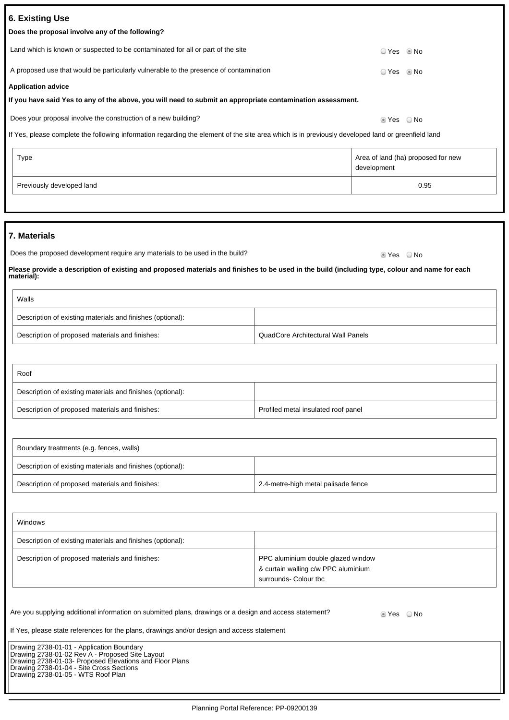| 7. Materials                                                                                                                                                                                                                                                                                                                                                                                                                                                  |                                                                                                    |  |
|---------------------------------------------------------------------------------------------------------------------------------------------------------------------------------------------------------------------------------------------------------------------------------------------------------------------------------------------------------------------------------------------------------------------------------------------------------------|----------------------------------------------------------------------------------------------------|--|
|                                                                                                                                                                                                                                                                                                                                                                                                                                                               |                                                                                                    |  |
| Does the proposed development require any materials to be used in the build?                                                                                                                                                                                                                                                                                                                                                                                  | ■ Yes   No                                                                                         |  |
| Please provide a description of existing and proposed materials and finishes to be used in the build (including type, colour and name for each<br>naterial):                                                                                                                                                                                                                                                                                                  |                                                                                                    |  |
| Walls                                                                                                                                                                                                                                                                                                                                                                                                                                                         |                                                                                                    |  |
| Description of existing materials and finishes (optional):                                                                                                                                                                                                                                                                                                                                                                                                    |                                                                                                    |  |
| Description of proposed materials and finishes:                                                                                                                                                                                                                                                                                                                                                                                                               | QuadCore Architectural Wall Panels                                                                 |  |
|                                                                                                                                                                                                                                                                                                                                                                                                                                                               |                                                                                                    |  |
| Roof                                                                                                                                                                                                                                                                                                                                                                                                                                                          |                                                                                                    |  |
| Description of existing materials and finishes (optional):                                                                                                                                                                                                                                                                                                                                                                                                    |                                                                                                    |  |
| Description of proposed materials and finishes:                                                                                                                                                                                                                                                                                                                                                                                                               | Profiled metal insulated roof panel                                                                |  |
|                                                                                                                                                                                                                                                                                                                                                                                                                                                               |                                                                                                    |  |
| Boundary treatments (e.g. fences, walls)                                                                                                                                                                                                                                                                                                                                                                                                                      |                                                                                                    |  |
| Description of existing materials and finishes (optional):                                                                                                                                                                                                                                                                                                                                                                                                    |                                                                                                    |  |
| Description of proposed materials and finishes:                                                                                                                                                                                                                                                                                                                                                                                                               | 2.4-metre-high metal palisade fence                                                                |  |
|                                                                                                                                                                                                                                                                                                                                                                                                                                                               |                                                                                                    |  |
| Windows                                                                                                                                                                                                                                                                                                                                                                                                                                                       |                                                                                                    |  |
| Description of existing materials and finishes (optional):                                                                                                                                                                                                                                                                                                                                                                                                    |                                                                                                    |  |
| Description of proposed materials and finishes:                                                                                                                                                                                                                                                                                                                                                                                                               | PPC aluminium double glazed window<br>& curtain walling c/w PPC aluminium<br>surrounds- Colour tbc |  |
| Are you supplying additional information on submitted plans, drawings or a design and access statement?<br>tes ONo<br>If Yes, please state references for the plans, drawings and/or design and access statement<br>Drawing 2738-01-01 - Application Boundary<br>Drawing 2738-01-02 Rev A - Proposed Site Layout<br>Drawing 2738-01-03- Proposed Elevations and Floor Plans<br>Drawing 2738-01-04 - Site Cross Sections<br>Drawing 2738-01-05 - WTS Roof Plan |                                                                                                    |  |
|                                                                                                                                                                                                                                                                                                                                                                                                                                                               | Planning Portal Reference: PP-09200139                                                             |  |

| Land which is known or suspected to be contaminated for all or part of the site                                                                   | ⊙ Yes ◎ No                                        |
|---------------------------------------------------------------------------------------------------------------------------------------------------|---------------------------------------------------|
| A proposed use that would be particularly vulnerable to the presence of contamination                                                             | © No<br>⊙ Yes                                     |
| <b>Application advice</b>                                                                                                                         |                                                   |
| If you have said Yes to any of the above, you will need to submit an appropriate contamination assessment.                                        |                                                   |
| Does your proposal involve the construction of a new building?                                                                                    | $\circ$ Yes $\circ$ No                            |
| If Yes, please complete the following information regarding the element of the site area which is in previously developed land or greenfield land |                                                   |
| Type                                                                                                                                              | Area of land (ha) proposed for new<br>development |

Previously developed land 0.95

**7. Materials**

**6. Existing Use**

**Does the proposal involve any of the following?**

| Walls                                                      |                                    |
|------------------------------------------------------------|------------------------------------|
| Description of existing materials and finishes (optional): |                                    |
| Description of proposed materials and finishes:            | QuadCore Architectural Wall Panels |

| Roof                                                       |                                     |
|------------------------------------------------------------|-------------------------------------|
| Description of existing materials and finishes (optional): |                                     |
| Description of proposed materials and finishes:            | Profiled metal insulated roof panel |

| Boundary treatments (e.g. fences, walls)                   |                                     |
|------------------------------------------------------------|-------------------------------------|
| Description of existing materials and finishes (optional): |                                     |
| Description of proposed materials and finishes:            | 2.4-metre-high metal palisade fence |

| Description of proposed materials and finishes:                                                         | PPC aluminium double glazed window<br>& curtain walling c/w PPC aluminium<br>surrounds- Colour tbc |  |  |
|---------------------------------------------------------------------------------------------------------|----------------------------------------------------------------------------------------------------|--|--|
| Are you supplying additional information on submitted plans, drawings or a design and access statement? | $\circ$ Yes $\circ$ No                                                                             |  |  |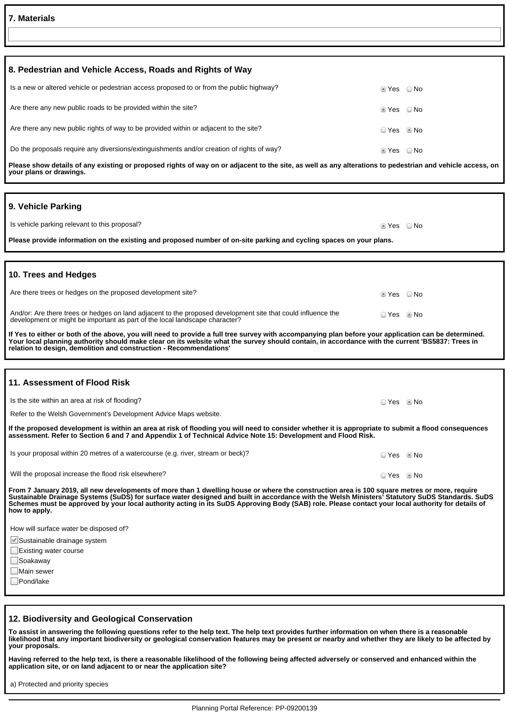| <b>7. Materials</b>                                                                                                                                                                                                                                                                                                                                                                                                                                                   |              |  |  |  |  |
|-----------------------------------------------------------------------------------------------------------------------------------------------------------------------------------------------------------------------------------------------------------------------------------------------------------------------------------------------------------------------------------------------------------------------------------------------------------------------|--------------|--|--|--|--|
|                                                                                                                                                                                                                                                                                                                                                                                                                                                                       |              |  |  |  |  |
|                                                                                                                                                                                                                                                                                                                                                                                                                                                                       |              |  |  |  |  |
| 8. Pedestrian and Vehicle Access, Roads and Rights of Way                                                                                                                                                                                                                                                                                                                                                                                                             |              |  |  |  |  |
| Is a new or altered vehicle or pedestrian access proposed to or from the public highway?                                                                                                                                                                                                                                                                                                                                                                              | tes ONo      |  |  |  |  |
| Are there any new public roads to be provided within the site?                                                                                                                                                                                                                                                                                                                                                                                                        | tes ONo      |  |  |  |  |
| Are there any new public rights of way to be provided within or adjacent to the site?                                                                                                                                                                                                                                                                                                                                                                                 | ⊙ Yes © No   |  |  |  |  |
| Do the proposals require any diversions/extinguishments and/or creation of rights of way?                                                                                                                                                                                                                                                                                                                                                                             | ■ Yes © No   |  |  |  |  |
| Please show details of any existing or proposed rights of way on or adjacent to the site, as well as any alterations to pedestrian and vehicle access, on<br>your plans or drawings.                                                                                                                                                                                                                                                                                  |              |  |  |  |  |
|                                                                                                                                                                                                                                                                                                                                                                                                                                                                       |              |  |  |  |  |
| 9. Vehicle Parking                                                                                                                                                                                                                                                                                                                                                                                                                                                    |              |  |  |  |  |
| Is vehicle parking relevant to this proposal?                                                                                                                                                                                                                                                                                                                                                                                                                         | $Yes$ No     |  |  |  |  |
| Please provide information on the existing and proposed number of on-site parking and cycling spaces on your plans.                                                                                                                                                                                                                                                                                                                                                   |              |  |  |  |  |
|                                                                                                                                                                                                                                                                                                                                                                                                                                                                       |              |  |  |  |  |
| 10. Trees and Hedges                                                                                                                                                                                                                                                                                                                                                                                                                                                  |              |  |  |  |  |
| Are there trees or hedges on the proposed development site?                                                                                                                                                                                                                                                                                                                                                                                                           | © Yes ○ No   |  |  |  |  |
| And/or: Are there trees or hedges on land adjacent to the proposed development site that could influence the<br>development or might be important as part of the local landscape character?                                                                                                                                                                                                                                                                           | ○ Yes ◎ No   |  |  |  |  |
| If Yes to either or both of the above, you will need to provide a full tree survey with accompanying plan before your application can be determined.<br>Your local planning authority should make clear on its website what the survey should contain, in accordance with the current 'BS5837: Trees in<br>relation to design, demolition and construction - Recommendations'                                                                                         |              |  |  |  |  |
|                                                                                                                                                                                                                                                                                                                                                                                                                                                                       |              |  |  |  |  |
| 11. Assessment of Flood Risk                                                                                                                                                                                                                                                                                                                                                                                                                                          |              |  |  |  |  |
| Is the site within an area at risk of flooding?                                                                                                                                                                                                                                                                                                                                                                                                                       | O Yes . I No |  |  |  |  |
| Refer to the Welsh Government's Development Advice Maps website.                                                                                                                                                                                                                                                                                                                                                                                                      |              |  |  |  |  |
| If the proposed development is within an area at risk of flooding you will need to consider whether it is appropriate to submit a flood consequences<br>assessment. Refer to Section 6 and 7 and Appendix 1 of Technical Advice Note 15: Development and Flood Risk.                                                                                                                                                                                                  |              |  |  |  |  |
| Is your proposal within 20 metres of a watercourse (e.g. river, stream or beck)?                                                                                                                                                                                                                                                                                                                                                                                      | ⊙ Yes ⊚ No   |  |  |  |  |
| Will the proposal increase the flood risk elsewhere?                                                                                                                                                                                                                                                                                                                                                                                                                  | ⊙ Yes ◎ No   |  |  |  |  |
| From 7 January 2019, all new developments of more than 1 dwelling house or where the construction area is 100 square metres or more, require<br>Sustainable Drainage Systems (SuDS) for surface water designed and built in accordance with the Welsh Ministers' Statutory SuDS Standards. SuDS<br>Schemes must be approved by your local authority acting in its SuDS Approving Body (SAB) role. Please contact your local authority for details of<br>how to apply. |              |  |  |  |  |
| How will surface water be disposed of?                                                                                                                                                                                                                                                                                                                                                                                                                                |              |  |  |  |  |
| Sustainable drainage system                                                                                                                                                                                                                                                                                                                                                                                                                                           |              |  |  |  |  |
| Existing water course                                                                                                                                                                                                                                                                                                                                                                                                                                                 |              |  |  |  |  |
| ∣Soakaway<br>Main sewer                                                                                                                                                                                                                                                                                                                                                                                                                                               |              |  |  |  |  |
| Pond/lake                                                                                                                                                                                                                                                                                                                                                                                                                                                             |              |  |  |  |  |
|                                                                                                                                                                                                                                                                                                                                                                                                                                                                       |              |  |  |  |  |

1

#### **12. Biodiversity and Geological Conservation**

**To assist in answering the following questions refer to the help text. The help text provides further information on when there is a reasonable likelihood that any important biodiversity or geological conservation features may be present or nearby and whether they are likely to be affected by your proposals.**

Having referred to the help text, is there a reasonable likelihood of the following being affected adversely or conserved and enhanced within the<br>application site, or on land adjacent to or near the application site?

a) Protected and priority species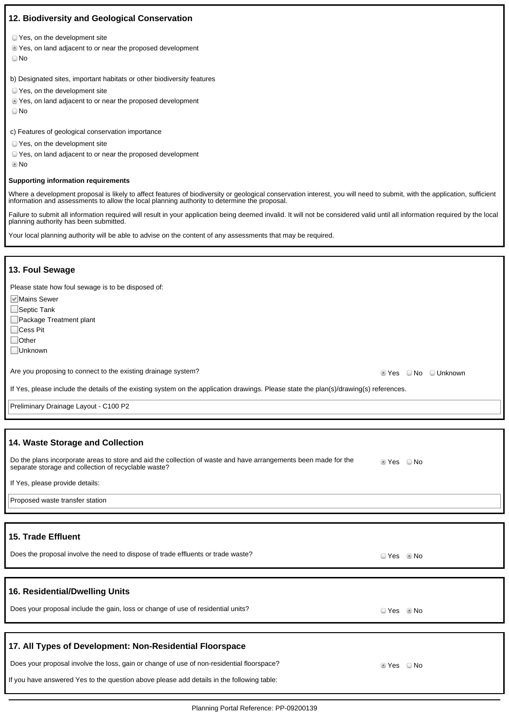# **12. Biodiversity and Geological Conservation**

- Yes, on the development site
- Yes, on land adjacent to or near the proposed development
- ∩No

b) Designated sites, important habitats or other biodiversity features

- Yes, on the development site
- Yes, on land adjacent to or near the proposed development
- ∩No

c) Features of geological conservation importance

- Yes, on the development site
- Yes, on land adjacent to or near the proposed development
- No

#### **Supporting information requirements**

Where a development proposal is likely to affect features of biodiversity or geological conservation interest, you will need to submit, with the application, sufficient information and assessments to allow the local planning authority to determine the proposal.

Failure to submit all information required will result in your application being deemed invalid. It will not be considered valid until all information required by the local planning authority has been submitted.

Your local planning authority will be able to advise on the content of any assessments that may be required.

#### **13. Foul Sewage**

Please state how foul sewage is to be disposed of:

**Mains Sewer** 

 $\Box$ Septic Tank

Package Treatment plant

□Cess Pit

□ Other

Unknown

Are you proposing to connect to the existing drainage system?<br>
Are you proposing to connect to the existing drainage system?

If Yes, please include the details of the existing system on the application drawings. Please state the plan(s)/drawing(s) references.

Preliminary Drainage Layout - C100 P2

#### **14. Waste Storage and Collection**

| Do the plans incorporate areas to store and aid the collection of waste and have arrangements been made for the<br>⊃ No<br>⊛ Yes<br>separate storage and collection of recyclable waste? |
|------------------------------------------------------------------------------------------------------------------------------------------------------------------------------------------|
|------------------------------------------------------------------------------------------------------------------------------------------------------------------------------------------|

If Yes, please provide details:

Proposed waste transfer station

### **15. Trade Effluent**

Does the proposal involve the need to dispose of trade effluents or trade waste?<br>
O Yes No

### **16. Residential/Dwelling Units**

Does your proposal include the gain, loss or change of use of residential units?  $\Box$  Yes No

### **17. All Types of Development: Non-Residential Floorspace**

Does your proposal involve the loss, gain or change of use of non-residential floorspace?  $\blacksquare$  Yes  $\blacksquare$  No

If you have answered Yes to the question above please add details in the following table: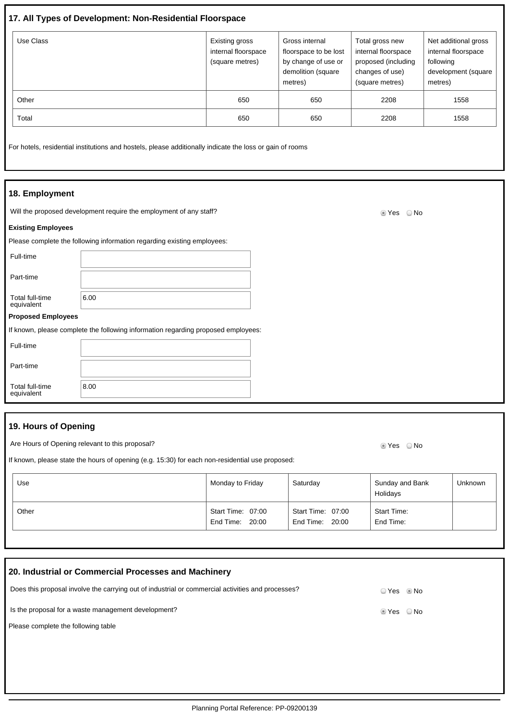# **17. All Types of Development: Non-Residential Floorspace**

| Use Class | Existing gross<br>internal floorspace<br>(square metres) | Gross internal<br>floorspace to be lost<br>by change of use or<br>demolition (square<br>metres) | Total gross new<br>internal floorspace<br>proposed (including<br>changes of use)<br>(square metres) | Net additional gross<br>internal floorspace<br>following<br>development (square<br>metres) |
|-----------|----------------------------------------------------------|-------------------------------------------------------------------------------------------------|-----------------------------------------------------------------------------------------------------|--------------------------------------------------------------------------------------------|
| Other     | 650                                                      | 650                                                                                             | 2208                                                                                                | 1558                                                                                       |
| Total     | 650                                                      | 650                                                                                             | 2208                                                                                                | 1558                                                                                       |

For hotels, residential institutions and hostels, please additionally indicate the loss or gain of rooms

#### **18. Employment**

Will the proposed development require the employment of any staff? Will the proposed of the Ves ONo

#### **Existing Employees**

| Please complete the following information regarding existing employees: |  |  |
|-------------------------------------------------------------------------|--|--|
|                                                                         |  |  |

Full-time

Part-time

Total full-time

equivalent **Proposed Employees**

If known, please complete the following information regarding proposed employees:

| Full-time                     |      |
|-------------------------------|------|
| Part-time                     |      |
| Total full-time<br>equivalent | 8.00 |

# **19. Hours of Opening**

Are Hours of Opening relevant to this proposal? Are not all the state of the Second Music Control of Music Control of Music Control of Music Control of Music Control of Music Control of Music Control of Music Control of Mu

 $6.00$ 

If known, please state the hours of opening (e.g. 15:30) for each non-residential use proposed:

| Use   | Monday to Friday                     | Saturday                             | Sunday and Bank<br>Holidays     | <b>Unknown</b> |
|-------|--------------------------------------|--------------------------------------|---------------------------------|----------------|
| Other | Start Time: 07:00<br>End Time: 20:00 | Start Time: 07:00<br>End Time: 20:00 | <b>Start Time:</b><br>End Time: |                |

| 20. Industrial or Commercial Processes and Machinery                                              |              |  |
|---------------------------------------------------------------------------------------------------|--------------|--|
| Does this proposal involve the carrying out of industrial or commercial activities and processes? | O Yes . I No |  |
| Is the proposal for a waste management development?                                               | tes ONo      |  |
| Please complete the following table                                                               |              |  |
|                                                                                                   |              |  |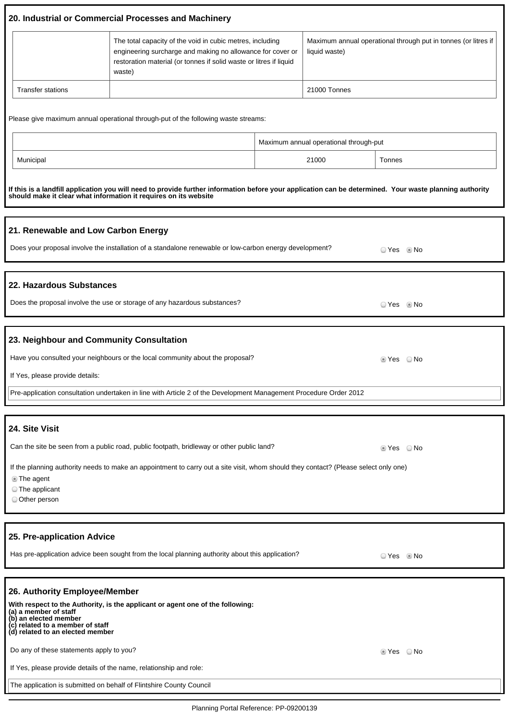|                          | 20. Industrial or Commercial Processes and Machinery                                                                                                                                                    |                                                                                 |
|--------------------------|---------------------------------------------------------------------------------------------------------------------------------------------------------------------------------------------------------|---------------------------------------------------------------------------------|
|                          | The total capacity of the void in cubic metres, including<br>engineering surcharge and making no allowance for cover or<br>restoration material (or tonnes if solid waste or litres if liquid<br>waste) | Maximum annual operational through put in tonnes (or litres if<br>liquid waste) |
| <b>Transfer stations</b> |                                                                                                                                                                                                         | 21000 Tonnes                                                                    |

Please give maximum annual operational through-put of the following waste streams:

|           | Maximum annual operational through-put |        |  |
|-----------|----------------------------------------|--------|--|
| Municipal | 21000                                  | Tonnes |  |

**If this is a landfill application you will need to provide further information before your application can be determined. Your waste planning authority should make it clear what information it requires on its website**

| 21. Renewable and Low Carbon Energy                                                                               |            |      |
|-------------------------------------------------------------------------------------------------------------------|------------|------|
| Does your proposal involve the installation of a standalone renewable or low-carbon energy development?           | ⊙ Yes ⊚ No |      |
|                                                                                                                   |            |      |
| 22. Hazardous Substances                                                                                          |            |      |
| Does the proposal involve the use or storage of any hazardous substances?                                         | ⊙ Yes © No |      |
|                                                                                                                   |            |      |
| 23. Neighbour and Community Consultation                                                                          |            |      |
| Have you consulted your neighbours or the local community about the proposal?                                     | ◉ Yes      | ○ No |
| If Yes, please provide details:                                                                                   |            |      |
| Pre-application consultation undertaken in line with Article 2 of the Development Management Procedure Order 2012 |            |      |

| 24. Site Visit |  |
|----------------|--|
|                |  |

I

Can the site be seen from a public road, public footpath, bridleway or other public land? Section 2002 Thes No

If the planning authority needs to make an appointment to carry out a site visit, whom should they contact? (Please select only one)

The agent

The applicant

Other person

# **25. Pre-application Advice**

Has pre-application advice been sought from the local planning authority about this application? <br>
O Yes No

| 26. Authority Employee/Member                                                                                                                                                                            |            |
|----------------------------------------------------------------------------------------------------------------------------------------------------------------------------------------------------------|------------|
| With respect to the Authority, is the applicant or agent one of the following:<br>(a) a member of staff<br>(b) an elected member<br>(c) related to a member of staff<br>(d) related to an elected member |            |
| Do any of these statements apply to you?                                                                                                                                                                 | © Yes ◯ No |
| If Yes, please provide details of the name, relationship and role:                                                                                                                                       |            |
| The application is submitted on behalf of Flintshire County Council                                                                                                                                      |            |